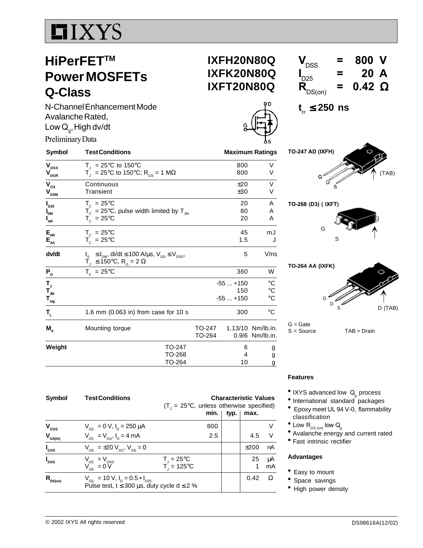# **LIXYS**

## **HiPerFETTM Power MOSFETs Q-Class**

N-Channel Enhancement Mode Avalanche Rated,  $Lc$ ,High dv/dt

|                                                                      | $'$ walanono nu salog,<br>Low Q <sub>a</sub> , High dv/dt                                                                                                                 |                        |                               |                                                       |
|----------------------------------------------------------------------|---------------------------------------------------------------------------------------------------------------------------------------------------------------------------|------------------------|-------------------------------|-------------------------------------------------------|
| Preliminary Data                                                     |                                                                                                                                                                           |                        |                               |                                                       |
| Symbol                                                               | <b>Test Conditions</b>                                                                                                                                                    | <b>Maximum Ratings</b> |                               |                                                       |
| V <sub>DSS</sub><br>$\bm{{\mathsf{V}}}_{\texttt{DGR}}$               | $T_1 = 25^{\circ}C$ to 150°C<br>$T_{\rm d}$ = 25°C to 150°C; R <sub>GS</sub> = 1 MΩ                                                                                       |                        | 800<br>800                    | V<br>V                                                |
| V <sub>GS</sub><br>$\mathsf{V}_{_{\mathsf{GSM}}}$                    | Continuous<br>Transient                                                                                                                                                   |                        | ±20<br>±30                    | V<br>V                                                |
| $\mathsf{I}_{\mathsf{D25}}$<br>I<br>Dm<br>$\mathsf{I}_{\mathsf{AR}}$ | $T_c = 25^{\circ}C$<br>$T_c = 25^{\circ}$ C, pulse width limited by T <sub>JM</sub><br>$T_c = 25^{\circ}C$                                                                |                        | 20<br>80<br>20                | A<br>Α<br>A                                           |
| $E_{_{AR}}$<br>$\mathsf{E}_{\mathsf{as}}$                            | $T_c = 25^{\circ}C$<br>$T_c = 25^{\circ}$ C                                                                                                                               |                        | 45<br>1.5                     | mJ                                                    |
| dv/dt                                                                | ≤ I <sub>DM</sub> , di/dt ≤ 100 A/μs, V <sub>DD</sub> ≤ V <sub>DSS</sub> ,<br>$\overline{T}_{\text{J}} \leq 150^{\circ} \text{C}, \ \overline{R}_{\text{G}} = 2 \ \Omega$ |                        | 5                             | V/ns                                                  |
| P,                                                                   | $T_c = 25^{\circ}C$                                                                                                                                                       |                        | 360                           | W                                                     |
| Т,<br>T <sub>jm</sub><br>$\mathsf{T}_{_{\sf{stg}}}$                  |                                                                                                                                                                           |                        | $-55+150$<br>150<br>$-55+150$ | $^{\circ}C$<br>$^\circ \text{C}$<br>$^\circ \text{C}$ |
| T <sub>L</sub>                                                       | 1.6 mm $(0.063$ in) from case for 10 s                                                                                                                                    |                        | 300                           | $^{\circ}$ C                                          |
| M,                                                                   | Mounting torque                                                                                                                                                           | TO-247<br>TO-264       |                               | 1.13/10 Nm/lb.in.<br>0.9/6 Nm/lb.in.                  |
| Weight                                                               | TO-247<br>TO-268<br>TO-264                                                                                                                                                |                        | 6<br>4<br>10                  | g<br>g<br>g                                           |

### **IXFH20N80Q IXFK20N80Q**  $V_{DSS}$  = 800 V  $I_{D25}$ = 20 A<br>= 0.42 Ω  $\overline{\mathbf{R}}_{DS(on)}$  =

**IXFT20N80Q**

**t** rr ≤ **250 ns**

**TO-247 AD (IXFH)** (TAB) G  $\mathsf{D}^{\mathcal{C}}$ 

**TO-268 (D3) ( IXFT)**





G = Gate<br>S = Source

 $TAB = Drain$ 

| <b>Symbol</b>                        | <b>Test Conditions</b>                                          | <b>Characteristic Values</b><br>$(T_1 = 25^{\circ}C,$ unless otherwise specified) |      |      |    |
|--------------------------------------|-----------------------------------------------------------------|-----------------------------------------------------------------------------------|------|------|----|
|                                      |                                                                 | min.                                                                              | typ. | max. |    |
| V <sub>DSS</sub>                     | $V_{\rm cs} = 0 \text{ V}, I_{\rm p} = 250 \mu \text{A}$        | 800                                                                               |      |      |    |
| $V_{GS(th)}$                         | $V_{DS} = V_{GS}$ , $I_{D} = 4$ mA                              | 2.5                                                                               |      | 4.5  | V  |
| $I_{\rm{GSS}}$                       | $V_{\text{gs}} = \pm 20 V_{\text{pc}}$ , $V_{\text{ps}} = 0$    |                                                                                   |      | ±200 | nA |
| $I_{\text{DSS}}$                     |                                                                 | $T_{\rm j}$ = 25°C                                                                |      | 25   | μA |
|                                      | $V_{DS} = V_{DSS}$<br>$V_{GS} = 0 V$                            | $\overline{T}$ = 125°C                                                            |      |      | mA |
| $R_{\rm \scriptscriptstyle D S(0n)}$ | $V_{\text{GS}}$ = 10 V, $I_{\text{D}}$ = 0.5 • $I_{\text{D25}}$ |                                                                                   |      | 0.42 | Ω  |
|                                      | Pulse test, $t \le 300 \mu s$ , duty cycle d $\le 2 \%$         |                                                                                   |      |      |    |

## **Features**

- IXYS advanced low  $Q_g$  process<br>• International standard packages
- 
- Epoxy meet UL 94 V-0, flammability classification
- $^{\bullet}$  Low  $\mathsf{R}_{\textsf{\tiny{DS}}\,(\textsf{\tiny{ON}})}$  low  $\mathsf{Q}_{\textsf{\tiny{g}}}$
- Avalanche energy and current rated
- Fast intrinsic rectifier

## **Advantages**

- Easy to mount
- Space savings
- High power density